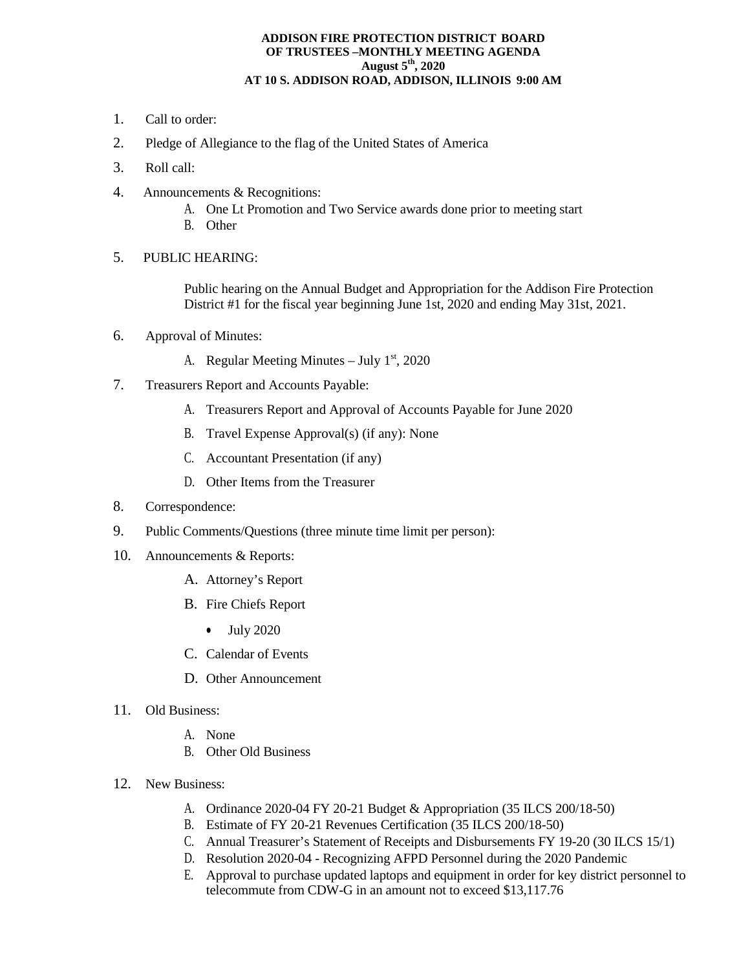## **ADDISON FIRE PROTECTION DISTRICT BOARD OF TRUSTEES –MONTHLY MEETING AGENDA August 5th, 2020 AT 10 S. ADDISON ROAD, ADDISON, ILLINOIS 9:00 AM**

- 1. Call to order:
- 2. Pledge of Allegiance to the flag of the United States of America
- 3. Roll call:
- 4. Announcements & Recognitions:
	- A. One Lt Promotion and Two Service awards done prior to meeting start
	- B. Other
- 5. PUBLIC HEARING:

Public hearing on the Annual Budget and Appropriation for the Addison Fire Protection District #1 for the fiscal year beginning June 1st, 2020 and ending May 31st, 2021.

- 6. Approval of Minutes:
	- A. Regular Meeting Minutes July  $1<sup>st</sup>$ , 2020
- 7. Treasurers Report and Accounts Payable:
	- A. Treasurers Report and Approval of Accounts Payable for June 2020
	- B. Travel Expense Approval(s) (if any): None
	- C. Accountant Presentation (if any)
	- D. Other Items from the Treasurer
- 8. Correspondence:
- 9. Public Comments/Questions (three minute time limit per person):
- 10. Announcements & Reports:
	- A. Attorney's Report
	- B. Fire Chiefs Report
		- July 2020
	- C. Calendar of Events
	- D. Other Announcement
- 11. Old Business:
	- A. None
	- B. Other Old Business
- 12. New Business:
	- A. Ordinance 2020-04 FY 20-21 Budget & Appropriation (35 ILCS 200/18-50)
	- B. Estimate of FY 20-21 Revenues Certification (35 ILCS 200/18-50)
	- C. Annual Treasurer's Statement of Receipts and Disbursements FY 19-20 (30 ILCS 15/1)
	- D. Resolution 2020-04 Recognizing AFPD Personnel during the 2020 Pandemic
	- E. Approval to purchase updated laptops and equipment in order for key district personnel to telecommute from CDW-G in an amount not to exceed \$13,117.76